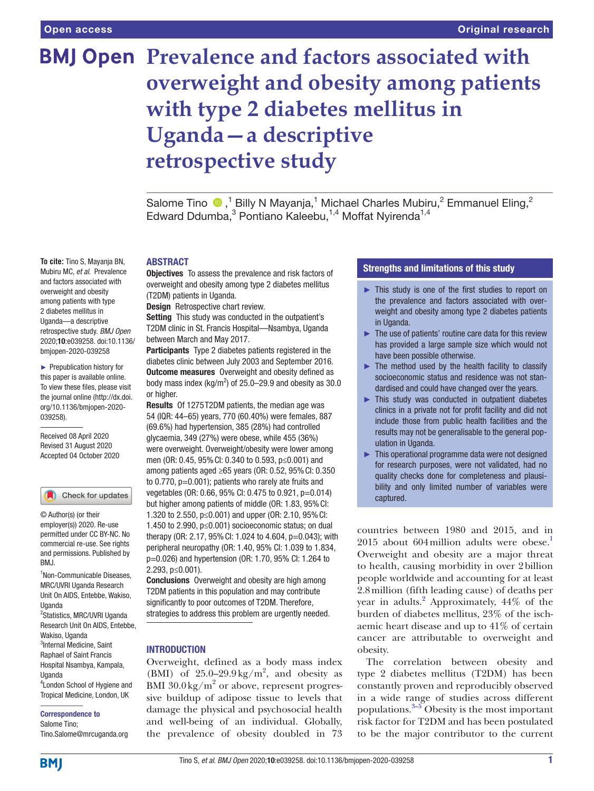# **BMJ Open Prevalence and factors associated with overweight and obesity among patients with type 2 diabetes mellitus in Uganda—a descriptive retrospective study**

SalomeTino  $\bullet$ ,<sup>1</sup> Billy N Mayanja,<sup>1</sup> Michael Charles Mubiru,<sup>2</sup> Emmanuel Eling,<sup>2</sup> Edward Ddumba,<sup>3</sup> Pontiano Kaleebu,<sup>1,4</sup> Moffat Nyirenda<sup>1,4</sup>

## ABSTRACT

**Objectives** To assess the prevalence and risk factors of overweight and obesity among type 2 diabetes mellitus (T2DM) patients in Uganda.

Design Retrospective chart review.

Setting This study was conducted in the outpatient's T2DM clinic in St. Francis Hospital—Nsambya, Uganda between March and May 2017.

Participants Type 2 diabetes patients registered in the diabetes clinic between July 2003 and September 2016. **Outcome measures** Overweight and obesity defined as body mass index (kg/m<sup>2</sup>) of 25.0–29.9 and obesity as 30.0 or higher.

Results Of 1275T2DM patients, the median age was 54 (IQR: 44–65) years, 770 (60.40%) were females, 887 (69.6%) had hypertension, 385 (28%) had controlled glycaemia, 349 (27%) were obese, while 455 (36%) were overweight. Overweight/obesity were lower among men (OR: 0.45, 95%CI: 0.340 to 0.593, p≤0.001) and among patients aged ≥65 years (OR: 0.52, 95%CI: 0.350 to  $0.770$ ,  $p=0.001$ ); patients who rarely ate fruits and vegetables (OR: 0.66, 95% CI: 0.475 to 0.921, p=0.014) but higher among patients of middle (OR: 1.83, 95%CI: 1.320 to 2.550, p≤0.001) and upper (OR: 2.10, 95%CI: 1.450 to 2.990, p≤0.001) socioeconomic status; on dual therapy (OR: 2.17, 95%CI: 1.024 to 4.604, p=0.043); with peripheral neuropathy (OR: 1.40, 95% CI: 1.039 to 1.834, p=0.026) and hypertension (OR: 1.70, 95% CI: 1.264 to 2.293, p≤0.001).

Conclusions Overweight and obesity are high among T2DM patients in this population and may contribute significantly to poor outcomes of T2DM. Therefore, strategies to address this problem are urgently needed.

## **INTRODUCTION**

Overweight, defined as a body mass index (BMI) of  $25.0-29.9 \text{ kg/m}^2$ , and obesity as BMI  $30.0 \text{ kg/m}^2$  or above, represent progressive buildup of adipose tissue to levels that damage the physical and psychosocial health and well-being of an individual. Globally, the prevalence of obesity doubled in 73

# Strengths and limitations of this study

- ► This study is one of the first studies to report on the prevalence and factors associated with overweight and obesity among type 2 diabetes patients in Uganda.
- $\blacktriangleright$  The use of patients' routine care data for this review has provided a large sample size which would not have been possible otherwise.
- $\blacktriangleright$  The method used by the health facility to classify socioeconomic status and residence was not standardised and could have changed over the years.
- ► This study was conducted in outpatient diabetes clinics in a private not for profit facility and did not include those from public health facilities and the results may not be generalisable to the general population in Uganda.
- ► This operational programme data were not designed for research purposes, were not validated, had no quality checks done for completeness and plausibility and only limited number of variables were captured.

countries between 1980 and 2015, and in 2015 about 604 million adults were obese.<sup>1</sup> Overweight and obesity are a major threat to health, causing morbidity in over 2billion people worldwide and accounting for at least 2.8million (fifth leading cause) of deaths per year in adults.<sup>[2](#page-7-1)</sup> Approximately, 44% of the burden of diabetes mellitus, 23% of the ischaemic heart disease and up to 41% of certain cancer are attributable to overweight and obesity.

The correlation between obesity and type 2 diabetes mellitus (T2DM) has been constantly proven and reproducibly observed in a wide range of studies across different populations. $3-5$  Obesity is the most important risk factor for T2DM and has been postulated to be the major contributor to the current

**To cite:** Tino S, Mayanja BN, Mubiru MC, *et al*. Prevalence and factors associated with overweight and obesity among patients with type 2 diabetes mellitus in Uganda—a descriptive retrospective study. *BMJ Open* 2020;10:e039258. doi:10.1136/ bmjopen-2020-039258

► Prepublication history for this paper is available online. To view these files, please visit the journal online (http://dx.doi. org/10.1136/bmjopen-2020- 039258).

Received 08 April 2020 Revised 31 August 2020 Accepted 04 October 2020

#### Check for updates

© Author(s) (or their employer(s)) 2020. Re-use permitted under CC BY-NC. No commercial re-use. See rights and permissions. Published by RM<sub>J</sub>

1 Non-Communicable Diseases, MRC/UVRI Uganda Research Unit On AIDS, Entebbe, Wakiso, Uganda

<sup>2</sup>Statistics, MRC/UVRI Uganda Research Unit On AIDS, Entebbe, Wakiso, Uganda <sup>3</sup>Internal Medicine, Saint

Raphael of Saint Francis Hospital Nsambya, Kampala, Uganda 4 London School of Hygiene and

Tropical Medicine, London, UK

#### Correspondence to

Salome Tino; Tino.Salome@mrcuganda.org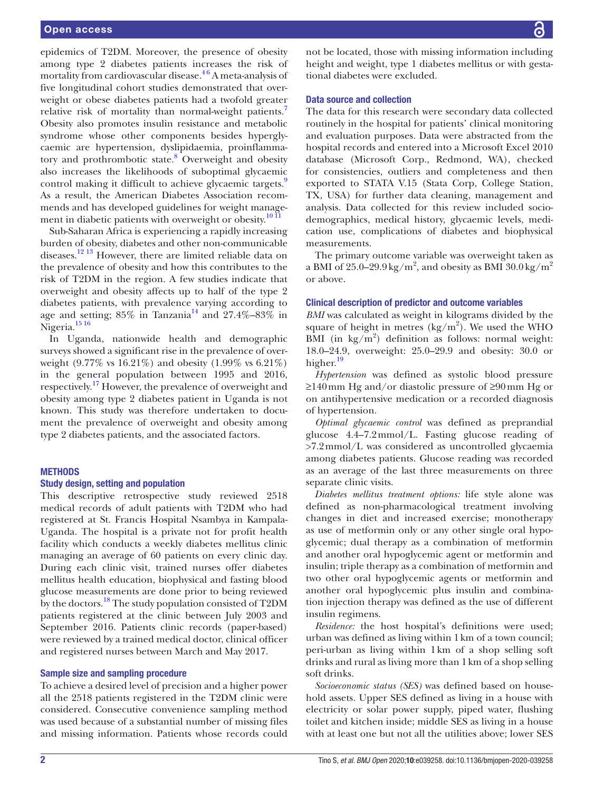epidemics of T2DM. Moreover, the presence of obesity among type 2 diabetes patients increases the risk of mortality from cardiovascular disease.<sup>46</sup> A meta-analysis of five longitudinal cohort studies demonstrated that overweight or obese diabetes patients had a twofold greater relative risk of mortality than normal-weight patients.<sup>[7](#page-7-4)</sup> Obesity also promotes insulin resistance and metabolic syndrome whose other components besides hyperglycaemic are hypertension, dyslipidaemia, proinflamma-tory and prothrombotic state.<sup>[8](#page-7-5)</sup> Overweight and obesity also increases the likelihoods of suboptimal glycaemic control making it difficult to achieve glycaemic targets.<sup>[9](#page-7-6)</sup> As a result, the American Diabetes Association recommends and has developed guidelines for weight management in diabetic patients with overweight or obesity. $\frac{10 \text{ H}}{2}$ 

Sub-Saharan Africa is experiencing a rapidly increasing burden of obesity, diabetes and other non-communicable diseases.<sup>12 13</sup> However, there are limited reliable data on the prevalence of obesity and how this contributes to the risk of T2DM in the region. A few studies indicate that overweight and obesity affects up to half of the type 2 diabetes patients, with prevalence varying according to age and setting;  $85\%$  in Tanzania<sup>14</sup> and  $27.4\% - 83\%$  in Nigeria.<sup>[15 16](#page-7-10)</sup>

In Uganda, nationwide health and demographic surveys showed a significant rise in the prevalence of overweight (9.77% vs 16.21%) and obesity (1.99% vs 6.21%) in the general population between 1995 and 2016, respectively.[17](#page-7-11) However, the prevalence of overweight and obesity among type 2 diabetes patient in Uganda is not known. This study was therefore undertaken to document the prevalence of overweight and obesity among type 2 diabetes patients, and the associated factors.

## **METHODS**

#### Study design, setting and population

This descriptive retrospective study reviewed 2518 medical records of adult patients with T2DM who had registered at St. Francis Hospital Nsambya in Kampala-Uganda. The hospital is a private not for profit health facility which conducts a weekly diabetes mellitus clinic managing an average of 60 patients on every clinic day. During each clinic visit, trained nurses offer diabetes mellitus health education, biophysical and fasting blood glucose measurements are done prior to being reviewed by the doctors.<sup>18</sup> The study population consisted of T2DM patients registered at the clinic between July 2003 and September 2016. Patients clinic records (paper-based) were reviewed by a trained medical doctor, clinical officer and registered nurses between March and May 2017.

## Sample size and sampling procedure

To achieve a desired level of precision and a higher power all the 2518 patients registered in the T2DM clinic were considered. Consecutive convenience sampling method was used because of a substantial number of missing files and missing information. Patients whose records could

not be located, those with missing information including height and weight, type 1 diabetes mellitus or with gestational diabetes were excluded.

## Data source and collection

The data for this research were secondary data collected routinely in the hospital for patients' clinical monitoring and evaluation purposes. Data were abstracted from the hospital records and entered into a Microsoft Excel 2010 database (Microsoft Corp., Redmond, WA), checked for consistencies, outliers and completeness and then exported to STATA V.15 (Stata Corp, College Station, TX, USA) for further data cleaning, management and analysis. Data collected for this review included sociodemographics, medical history, glycaemic levels, medication use, complications of diabetes and biophysical measurements.

The primary outcome variable was overweight taken as a BMI of 25.0–29.9 kg/m<sup>2</sup>, and obesity as BMI 30.0 kg/m<sup>2</sup> or above.

#### Clinical description of predictor and outcome variables

*BMI* was calculated as weight in kilograms divided by the square of height in metres  $(kg/m^2)$ . We used the WHO BMI (in  $\text{kg/m}^2$ ) definition as follows: normal weight: 18.0–24.9, overweight: 25.0–29.9 and obesity: 30.0 or higher.<sup>[19](#page-7-13)</sup>

*Hypertension* was defined as systolic blood pressure ≥140mm Hg and/or diastolic pressure of ≥90mm Hg or on antihypertensive medication or a recorded diagnosis of hypertension.

*Optimal glycaemic control* was defined as preprandial glucose 4.4–7.2mmol/L. Fasting glucose reading of >7.2mmol/L was considered as uncontrolled glycaemia among diabetes patients. Glucose reading was recorded as an average of the last three measurements on three separate clinic visits.

*Diabetes mellitus treatment options:* life style alone was defined as non-pharmacological treatment involving changes in diet and increased exercise; monotherapy as use of metformin only or any other single oral hypoglycemic; dual therapy as a combination of metformin and another oral hypoglycemic agent or metformin and insulin; triple therapy as a combination of metformin and two other oral hypoglycemic agents or metformin and another oral hypoglycemic plus insulin and combination injection therapy was defined as the use of different insulin regimens.

*Residence:* the host hospital's definitions were used; urban was defined as living within 1km of a town council; peri-urban as living within 1km of a shop selling soft drinks and rural as living more than 1km of a shop selling soft drinks.

*Socioeconomic status (SES)* was defined based on household assets. Upper SES defined as living in a house with electricity or solar power supply, piped water, flushing toilet and kitchen inside; middle SES as living in a house with at least one but not all the utilities above; lower SES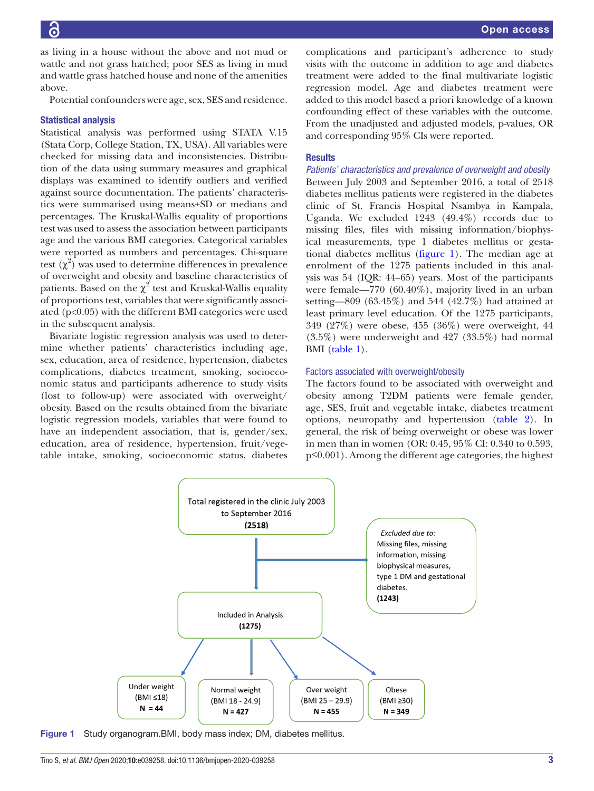as living in a house without the above and not mud or wattle and not grass hatched; poor SES as living in mud and wattle grass hatched house and none of the amenities above.

Potential confounders were age, sex, SES and residence.

## Statistical analysis

Statistical analysis was performed using STATA V.15 (Stata Corp, College Station, TX, USA). All variables were checked for missing data and inconsistencies. Distribution of the data using summary measures and graphical displays was examined to identify outliers and verified against source documentation. The patients' characteristics were summarised using means±SD or medians and percentages. The Kruskal-Wallis equality of proportions test was used to assess the association between participants age and the various BMI categories. Categorical variables were reported as numbers and percentages. Chi-square test  $(\chi^2)$  was used to determine differences in prevalence of overweight and obesity and baseline characteristics of patients. Based on the  $\chi^2$  test and Kruskal-Wallis equality of proportions test, variables that were significantly associated (p<0.05) with the different BMI categories were used in the subsequent analysis.

Bivariate logistic regression analysis was used to determine whether patients' characteristics including age, sex, education, area of residence, hypertension, diabetes complications, diabetes treatment, smoking, socioeconomic status and participants adherence to study visits (lost to follow-up) were associated with overweight/ obesity. Based on the results obtained from the bivariate logistic regression models, variables that were found to have an independent association, that is, gender/sex, education, area of residence, hypertension, fruit/vegetable intake, smoking, socioeconomic status, diabetes

complications and participant's adherence to study visits with the outcome in addition to age and diabetes treatment were added to the final multivariate logistic regression model. Age and diabetes treatment were added to this model based a priori knowledge of a known confounding effect of these variables with the outcome. From the unadjusted and adjusted models, p-values, OR and corresponding 95% CIs were reported.

## **Results**

*Patients' characteristics and prevalence of overweight and obesity* Between July 2003 and September 2016, a total of 2518 diabetes mellitus patients were registered in the diabetes clinic of St. Francis Hospital Nsambya in Kampala, Uganda. We excluded 1243 (49.4%) records due to missing files, files with missing information/biophysical measurements, type 1 diabetes mellitus or gestational diabetes mellitus [\(figure](#page-2-0) 1). The median age at enrolment of the 1275 patients included in this analysis was 54 (IQR: 44–65) years. Most of the participants were female—770 (60.40%), majority lived in an urban setting—809 (63.45%) and 544 (42.7%) had attained at least primary level education. Of the 1275 participants, 349 (27%) were obese, 455 (36%) were overweight, 44 (3.5%) were underweight and 427 (33.5%) had normal BMI ([table](#page-3-0) 1).

## Factors associated with overweight/obesity

The factors found to be associated with overweight and obesity among T2DM patients were female gender, age, SES, fruit and vegetable intake, diabetes treatment options, neuropathy and hypertension ([table](#page-5-0) 2). In general, the risk of being overweight or obese was lower in men than in women (OR: 0.45, 95% CI: 0.340 to 0.593, p≤0.001). Among the different age categories, the highest



<span id="page-2-0"></span>Figure 1 Study organogram. BMI, body mass index; DM, diabetes mellitus.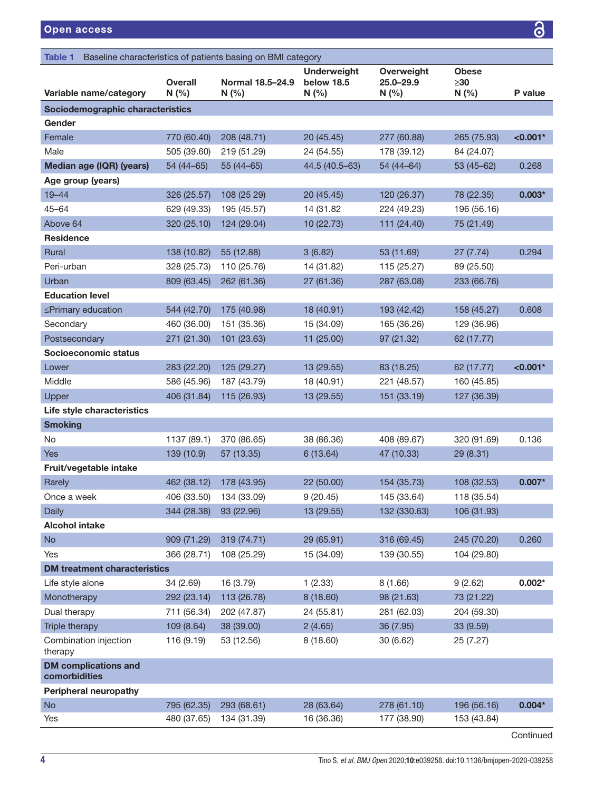<span id="page-3-0"></span>

| Baseline characteristics of patients basing on BMI category<br>Table 1 |                         |                           |                                         |                                |                                  |            |  |  |
|------------------------------------------------------------------------|-------------------------|---------------------------|-----------------------------------------|--------------------------------|----------------------------------|------------|--|--|
| Variable name/category                                                 | <b>Overall</b><br>N(% ) | Normal 18.5-24.9<br>N(% ) | <b>Underweight</b><br>below 18.5<br>N(% | Overweight<br>25.0-29.9<br>N(% | <b>Obese</b><br>$\geq 30$<br>N(% | P value    |  |  |
| Sociodemographic characteristics                                       |                         |                           |                                         |                                |                                  |            |  |  |
| Gender                                                                 |                         |                           |                                         |                                |                                  |            |  |  |
| Female                                                                 | 770 (60.40)             | 208 (48.71)               | 20 (45.45)                              | 277 (60.88)                    | 265 (75.93)                      | $< 0.001*$ |  |  |
| Male                                                                   | 505 (39.60)             | 219 (51.29)               | 24 (54.55)                              | 178 (39.12)                    | 84 (24.07)                       |            |  |  |
| Median age (IQR) (years)                                               | $54(44-65)$             | $55(44-65)$               | 44.5 (40.5-63)                          | $54(44-64)$                    | $53(45-62)$                      | 0.268      |  |  |
| Age group (years)                                                      |                         |                           |                                         |                                |                                  |            |  |  |
| $19 - 44$                                                              | 326 (25.57)             | 108 (25 29)               | 20 (45.45)                              | 120 (26.37)                    | 78 (22.35)                       | $0.003*$   |  |  |
| $45 - 64$                                                              | 629 (49.33)             | 195 (45.57)               | 14 (31.82)                              | 224 (49.23)                    | 196 (56.16)                      |            |  |  |
| Above 64                                                               | 320 (25.10)             | 124 (29.04)               | 10 (22.73)                              | 111 (24.40)                    | 75 (21.49)                       |            |  |  |
| <b>Residence</b>                                                       |                         |                           |                                         |                                |                                  |            |  |  |
| Rural                                                                  | 138 (10.82)             | 55 (12.88)                | 3(6.82)                                 | 53 (11.69)                     | 27 (7.74)                        | 0.294      |  |  |
| Peri-urban                                                             | 328 (25.73)             | 110 (25.76)               | 14 (31.82)                              | 115 (25.27)                    | 89 (25.50)                       |            |  |  |
| Urban                                                                  | 809 (63.45)             | 262 (61.36)               | 27 (61.36)                              | 287 (63.08)                    | 233 (66.76)                      |            |  |  |
| <b>Education level</b>                                                 |                         |                           |                                         |                                |                                  |            |  |  |
| ≤Primary education                                                     | 544 (42.70)             | 175 (40.98)               | 18 (40.91)                              | 193 (42.42)                    | 158 (45.27)                      | 0.608      |  |  |
| Secondary                                                              | 460 (36.00)             | 151 (35.36)               | 15 (34.09)                              | 165 (36.26)                    | 129 (36.96)                      |            |  |  |
| Postsecondary                                                          | 271 (21.30)             | 101 (23.63)               | 11 (25.00)                              | 97 (21.32)                     | 62 (17.77)                       |            |  |  |
| Socioeconomic status                                                   |                         |                           |                                         |                                |                                  |            |  |  |
| Lower                                                                  | 283 (22.20)             | 125 (29.27)               | 13 (29.55)                              | 83 (18.25)                     | 62 (17.77)                       | $< 0.001*$ |  |  |
| Middle                                                                 | 586 (45.96)             | 187 (43.79)               | 18 (40.91)                              | 221 (48.57)                    | 160 (45.85)                      |            |  |  |
| Upper                                                                  | 406 (31.84)             | 115 (26.93)               | 13 (29.55)                              | 151 (33.19)                    | 127 (36.39)                      |            |  |  |
| Life style characteristics                                             |                         |                           |                                         |                                |                                  |            |  |  |
| <b>Smoking</b>                                                         |                         |                           |                                         |                                |                                  |            |  |  |
| No.                                                                    | 1137 (89.1)             | 370 (86.65)               | 38 (86.36)                              | 408 (89.67)                    | 320 (91.69)                      | 0.136      |  |  |
| <b>Yes</b>                                                             | 139 (10.9)              | 57 (13.35)                | 6(13.64)                                | 47 (10.33)                     | 29 (8.31)                        |            |  |  |
| Fruit/vegetable intake                                                 |                         |                           |                                         |                                |                                  |            |  |  |
| Rarely                                                                 | 462 (38.12)             | 178 (43.95)               | 22 (50.00)                              | 154 (35.73)                    | 108 (32.53)                      | $0.007*$   |  |  |
| Once a week                                                            | 406 (33.50)             | 134 (33.09)               | 9(20.45)                                | 145 (33.64)                    | 118 (35.54)                      |            |  |  |
| Daily                                                                  | 344 (28.38)             | 93 (22.96)                | 13 (29.55)                              | 132 (330.63)                   | 106 (31.93)                      |            |  |  |
| <b>Alcohol intake</b>                                                  |                         |                           |                                         |                                |                                  |            |  |  |
| <b>No</b>                                                              | 909 (71.29)             | 319 (74.71)               | 29 (65.91)                              | 316 (69.45)                    | 245 (70.20)                      | 0.260      |  |  |
| Yes                                                                    | 366 (28.71)             | 108 (25.29)               | 15 (34.09)                              | 139 (30.55)                    | 104 (29.80)                      |            |  |  |
| <b>DM treatment characteristics</b>                                    |                         |                           |                                         |                                |                                  |            |  |  |
| Life style alone                                                       | 34 (2.69)               | 16 (3.79)                 | 1(2.33)                                 | 8(1.66)                        | 9(2.62)                          | $0.002*$   |  |  |
| Monotherapy                                                            | 292 (23.14)             | 113 (26.78)               | 8 (18.60)                               | 98 (21.63)                     | 73 (21.22)                       |            |  |  |
| Dual therapy                                                           | 711 (56.34)             | 202 (47.87)               | 24 (55.81)                              | 281 (62.03)                    | 204 (59.30)                      |            |  |  |
| Triple therapy                                                         | 109 (8.64)              | 38 (39.00)                | 2(4.65)                                 | 36 (7.95)                      | 33 (9.59)                        |            |  |  |
| Combination injection<br>therapy                                       | 116 (9.19)              | 53 (12.56)                | 8 (18.60)                               | 30 (6.62)                      | 25 (7.27)                        |            |  |  |
| <b>DM</b> complications and<br>comorbidities                           |                         |                           |                                         |                                |                                  |            |  |  |
| <b>Peripheral neuropathy</b>                                           |                         |                           |                                         |                                |                                  |            |  |  |
| <b>No</b>                                                              | 795 (62.35)             | 293 (68.61)               | 28 (63.64)                              | 278 (61.10)                    | 196 (56.16)                      | $0.004*$   |  |  |
| Yes                                                                    | 480 (37.65)             | 134 (31.39)               | 16 (36.36)                              | 177 (38.90)                    | 153 (43.84)                      |            |  |  |
|                                                                        |                         |                           |                                         |                                |                                  |            |  |  |

Continued

<u>යි</u>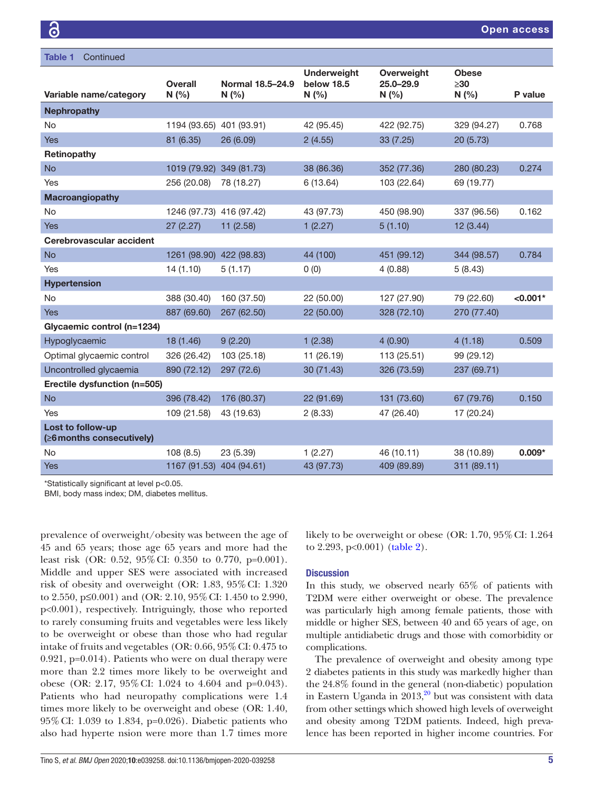| <b>Table 1</b><br>Continued                    |                          |                         |                                           |                                    |                                  |            |
|------------------------------------------------|--------------------------|-------------------------|-------------------------------------------|------------------------------------|----------------------------------|------------|
| Variable name/category                         | <b>Overall</b><br>N(%    | Normal 18.5-24.9<br>N(% | <b>Underweight</b><br>below 18.5<br>N(% ) | Overweight<br>$25.0 - 29.9$<br>N(% | <b>Obese</b><br>$\geq 30$<br>N(% | P value    |
|                                                |                          |                         |                                           |                                    |                                  |            |
| <b>Nephropathy</b>                             |                          |                         |                                           |                                    |                                  |            |
| No                                             | 1194 (93.65) 401 (93.91) |                         | 42 (95.45)                                | 422 (92.75)                        | 329 (94.27)                      | 0.768      |
| <b>Yes</b>                                     | 81 (6.35)                | 26 (6.09)               | 2(4.55)                                   | 33 (7.25)                          | 20 (5.73)                        |            |
| Retinopathy                                    |                          |                         |                                           |                                    |                                  |            |
| <b>No</b>                                      | 1019 (79.92) 349 (81.73) |                         | 38 (86.36)                                | 352 (77.36)                        | 280 (80.23)                      | 0.274      |
| Yes                                            | 256 (20.08)              | 78 (18.27)              | 6(13.64)                                  | 103 (22.64)                        | 69 (19.77)                       |            |
| <b>Macroangiopathy</b>                         |                          |                         |                                           |                                    |                                  |            |
| No                                             | 1246 (97.73) 416 (97.42) |                         | 43 (97.73)                                | 450 (98.90)                        | 337 (96.56)                      | 0.162      |
| <b>Yes</b>                                     | 27(2.27)                 | 11(2.58)                | 1(2.27)                                   | 5(1.10)                            | 12 (3.44)                        |            |
| Cerebrovascular accident                       |                          |                         |                                           |                                    |                                  |            |
| <b>No</b>                                      | 1261 (98.90) 422 (98.83) |                         | 44 (100)                                  | 451 (99.12)                        | 344 (98.57)                      | 0.784      |
| Yes                                            | 14(1.10)                 | 5(1.17)                 | 0(0)                                      | 4(0.88)                            | 5(8.43)                          |            |
| <b>Hypertension</b>                            |                          |                         |                                           |                                    |                                  |            |
| No                                             | 388 (30.40)              | 160 (37.50)             | 22 (50.00)                                | 127 (27.90)                        | 79 (22.60)                       | $< 0.001*$ |
| <b>Yes</b>                                     | 887 (69.60)              | 267 (62.50)             | 22 (50.00)                                | 328 (72.10)                        | 270 (77.40)                      |            |
| Glycaemic control (n=1234)                     |                          |                         |                                           |                                    |                                  |            |
| Hypoglycaemic                                  | 18(1.46)                 | 9(2.20)                 | 1(2.38)                                   | 4(0.90)                            | 4(1.18)                          | 0.509      |
| Optimal glycaemic control                      | 326 (26.42)              | 103 (25.18)             | 11 (26.19)                                | 113 (25.51)                        | 99 (29.12)                       |            |
| Uncontrolled glycaemia                         | 890 (72.12)              | 297 (72.6)              | 30 (71.43)                                | 326 (73.59)                        | 237 (69.71)                      |            |
| Erectile dysfunction (n=505)                   |                          |                         |                                           |                                    |                                  |            |
| <b>No</b>                                      | 396 (78.42)              | 176 (80.37)             | 22 (91.69)                                | 131 (73.60)                        | 67 (79.76)                       | 0.150      |
| Yes                                            | 109 (21.58)              | 43 (19.63)              | 2(8.33)                                   | 47 (26.40)                         | 17 (20.24)                       |            |
| Lost to follow-up<br>(≥6 months consecutively) |                          |                         |                                           |                                    |                                  |            |
| <b>No</b>                                      | 108(8.5)                 | 23 (5.39)               | 1(2.27)                                   | 46 (10.11)                         | 38 (10.89)                       | $0.009*$   |
| <b>Yes</b>                                     | 1167 (91.53) 404 (94.61) |                         | 43 (97.73)                                | 409 (89.89)                        | 311 (89.11)                      |            |
|                                                |                          |                         |                                           |                                    |                                  |            |

\*Statistically significant at level p<0.05.

BMI, body mass index; DM, diabetes mellitus.

prevalence of overweight/obesity was between the age of 45 and 65 years; those age 65 years and more had the least risk (OR: 0.52, 95%CI: 0.350 to 0.770, p=0.001). Middle and upper SES were associated with increased risk of obesity and overweight (OR: 1.83, 95%CI: 1.320 to 2.550, p≤0.001) and (OR: 2.10, 95%CI: 1.450 to 2.990, p<0.001), respectively. Intriguingly, those who reported to rarely consuming fruits and vegetables were less likely to be overweight or obese than those who had regular intake of fruits and vegetables (OR: 0.66, 95%CI: 0.475 to 0.921, p=0.014). Patients who were on dual therapy were more than 2.2 times more likely to be overweight and obese (OR: 2.17, 95%CI: 1.024 to 4.604 and p=0.043). Patients who had neuropathy complications were 1.4 times more likely to be overweight and obese (OR: 1.40, 95%CI: 1.039 to 1.834, p=0.026). Diabetic patients who also had hyperte nsion were more than 1.7 times more

likely to be overweight or obese (OR: 1.70, 95% CI: 1.264) to 2.293, p<0.001) ([table](#page-5-0) 2).

## **Discussion**

In this study, we observed nearly 65% of patients with T2DM were either overweight or obese. The prevalence was particularly high among female patients, those with middle or higher SES, between 40 and 65 years of age, on multiple antidiabetic drugs and those with comorbidity or complications.

The prevalence of overweight and obesity among type 2 diabetes patients in this study was markedly higher than the 24.8% found in the general (non-diabetic) population in Eastern Uganda in  $2013$ ,<sup>20</sup> but was consistent with data from other settings which showed high levels of overweight and obesity among T2DM patients. Indeed, high prevalence has been reported in higher income countries. For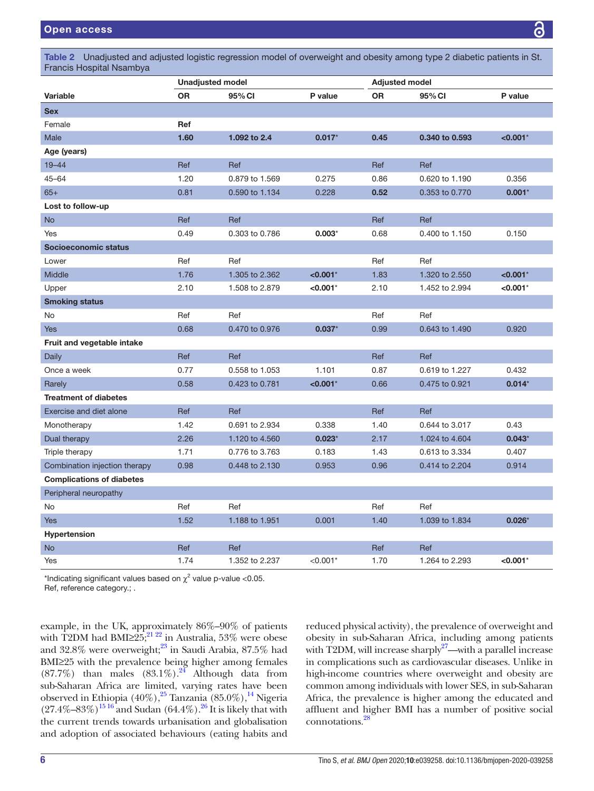<span id="page-5-0"></span>Table 2 Unadjusted and adjusted logistic regression model of overweight and obesity among type 2 diabetic patients in St. Francis Hospital Nsambya

|                                  | <b>Unadjusted model</b> |                |             | <b>Adjusted model</b> |                |             |
|----------------------------------|-------------------------|----------------|-------------|-----------------------|----------------|-------------|
| <b>Variable</b>                  | <b>OR</b>               | 95% CI         | P value     | <b>OR</b>             | 95% CI         | P value     |
| <b>Sex</b>                       |                         |                |             |                       |                |             |
| Female                           | Ref                     |                |             |                       |                |             |
| Male                             | 1.60                    | 1.092 to 2.4   | $0.017*$    | 0.45                  | 0.340 to 0.593 | $< 0.001$ * |
| Age (years)                      |                         |                |             |                       |                |             |
| $19 - 44$                        | Ref                     | Ref            |             | Ref                   | Ref            |             |
| $45 - 64$                        | 1.20                    | 0.879 to 1.569 | 0.275       | 0.86                  | 0.620 to 1.190 | 0.356       |
| $65+$                            | 0.81                    | 0.590 to 1.134 | 0.228       | 0.52                  | 0.353 to 0.770 | $0.001*$    |
| Lost to follow-up                |                         |                |             |                       |                |             |
| <b>No</b>                        | Ref                     | Ref            |             | Ref                   | Ref            |             |
| Yes                              | 0.49                    | 0.303 to 0.786 | $0.003*$    | 0.68                  | 0.400 to 1.150 | 0.150       |
| Socioeconomic status             |                         |                |             |                       |                |             |
| Lower                            | Ref                     | Ref            |             | Ref                   | Ref            |             |
| Middle                           | 1.76                    | 1.305 to 2.362 | $< 0.001$ * | 1.83                  | 1.320 to 2.550 | $< 0.001$ * |
| Upper                            | 2.10                    | 1.508 to 2.879 | $< 0.001*$  | 2.10                  | 1.452 to 2.994 | $< 0.001*$  |
| <b>Smoking status</b>            |                         |                |             |                       |                |             |
| No                               | Ref                     | Ref            |             | Ref                   | Ref            |             |
| <b>Yes</b>                       | 0.68                    | 0.470 to 0.976 | $0.037*$    | 0.99                  | 0.643 to 1.490 | 0.920       |
| Fruit and vegetable intake       |                         |                |             |                       |                |             |
| Daily                            | Ref                     | Ref            |             | Ref                   | Ref            |             |
| Once a week                      | 0.77                    | 0.558 to 1.053 | 1.101       | 0.87                  | 0.619 to 1.227 | 0.432       |
| Rarely                           | 0.58                    | 0.423 to 0.781 | $< 0.001*$  | 0.66                  | 0.475 to 0.921 | $0.014*$    |
| <b>Treatment of diabetes</b>     |                         |                |             |                       |                |             |
| Exercise and diet alone          | Ref                     | Ref            |             | Ref                   | Ref            |             |
| Monotherapy                      | 1.42                    | 0.691 to 2.934 | 0.338       | 1.40                  | 0.644 to 3.017 | 0.43        |
| Dual therapy                     | 2.26                    | 1.120 to 4.560 | $0.023*$    | 2.17                  | 1.024 to 4.604 | $0.043*$    |
| Triple therapy                   | 1.71                    | 0.776 to 3.763 | 0.183       | 1.43                  | 0.613 to 3.334 | 0.407       |
| Combination injection therapy    | 0.98                    | 0.448 to 2.130 | 0.953       | 0.96                  | 0.414 to 2.204 | 0.914       |
| <b>Complications of diabetes</b> |                         |                |             |                       |                |             |
| Peripheral neuropathy            |                         |                |             |                       |                |             |
| No                               | Ref                     | Ref            |             | Ref                   | Ref            |             |
| <b>Yes</b>                       | 1.52                    | 1.188 to 1.951 | 0.001       | 1.40                  | 1.039 to 1.834 | $0.026*$    |
| Hypertension                     |                         |                |             |                       |                |             |
| No                               | Ref                     | Ref            |             | Ref                   | Ref            |             |
| Yes                              | 1.74                    | 1.352 to 2.237 | $< 0.001*$  | 1.70                  | 1.264 to 2.293 | $< 0.001$ * |

\*Indicating significant values based on  $\chi^2$  value p-value <0.05. Ref, reference category.; .

example, in the UK, approximately 86%–90% of patients with T2DM had BMI≥25;<sup>21 22</sup> in Australia, 53% were obese and 32.8% were overweight;<sup>23</sup> in Saudi Arabia, 87.5% had BMI≥25 with the prevalence being higher among females  $(87.7\%)$  than males  $(83.1\%)$ <sup>[24](#page-7-17)</sup> Although data from sub-Saharan Africa are limited, varying rates have been observed in Ethiopia (40%),<sup>[25](#page-7-18)</sup> Tanzania (85.0%),<sup>[14](#page-7-9)</sup> Nigeria  $(27.4\% - 83\%)$ <sup>15 16</sup> and Sudan (64.4%).<sup>26</sup> It is likely that with the current trends towards urbanisation and globalisation and adoption of associated behaviours (eating habits and

reduced physical activity), the prevalence of overweight and obesity in sub-Saharan Africa, including among patients with T2DM, will increase sharply $27$ —with a parallel increase in complications such as cardiovascular diseases. Unlike in high-income countries where overweight and obesity are common among individuals with lower SES, in sub-Saharan Africa, the prevalence is higher among the educated and affluent and higher BMI has a number of positive social connotations.[28](#page-7-21)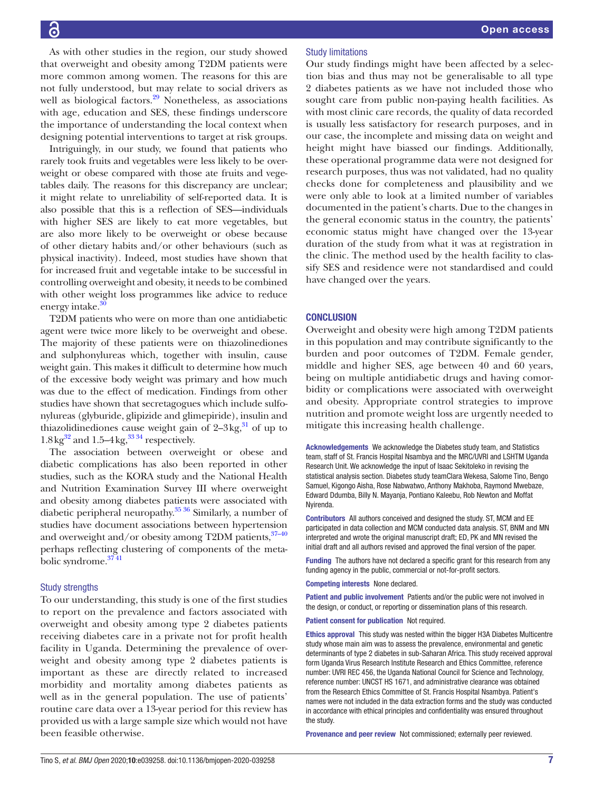As with other studies in the region, our study showed that overweight and obesity among T2DM patients were more common among women. The reasons for this are not fully understood, but may relate to social drivers as well as biological factors.<sup>29</sup> Nonetheless, as associations with age, education and SES, these findings underscore the importance of understanding the local context when designing potential interventions to target at risk groups.

Intriguingly, in our study, we found that patients who rarely took fruits and vegetables were less likely to be overweight or obese compared with those ate fruits and vegetables daily. The reasons for this discrepancy are unclear; it might relate to unreliability of self-reported data. It is also possible that this is a reflection of SES—individuals with higher SES are likely to eat more vegetables, but are also more likely to be overweight or obese because of other dietary habits and/or other behaviours (such as physical inactivity). Indeed, most studies have shown that for increased fruit and vegetable intake to be successful in controlling overweight and obesity, it needs to be combined with other weight loss programmes like advice to reduce energy intake.

T2DM patients who were on more than one antidiabetic agent were twice more likely to be overweight and obese. The majority of these patients were on thiazolinediones and sulphonylureas which, together with insulin, cause weight gain. This makes it difficult to determine how much of the excessive body weight was primary and how much was due to the effect of medication. Findings from other studies have shown that secretagogues which include sulfonylureas (glyburide, glipizide and glimepiride), insulin and thiazolidinediones cause weight gain of  $2-3\text{kg}$ ,  $31$  of up to  $1.8\mathrm{kg}^{32}$  and  $1.5-4\mathrm{kg}^{33\,34}$  respectively.

The association between overweight or obese and diabetic complications has also been reported in other studies, such as the KORA study and the National Health and Nutrition Examination Survey III where overweight and obesity among diabetes patients were associated with diabetic peripheral neuropathy[.35 36](#page-7-27) Similarly, a number of studies have document associations between hypertension and overweight and/or obesity among T2DM patients,  $37-40$ perhaps reflecting clustering of components of the metabolic syndrome.<sup>3741</sup>

#### Study strengths

To our understanding, this study is one of the first studies to report on the prevalence and factors associated with overweight and obesity among type 2 diabetes patients receiving diabetes care in a private not for profit health facility in Uganda. Determining the prevalence of overweight and obesity among type 2 diabetes patients is important as these are directly related to increased morbidity and mortality among diabetes patients as well as in the general population. The use of patients' routine care data over a 13-year period for this review has provided us with a large sample size which would not have been feasible otherwise.

#### Study limitations

Our study findings might have been affected by a selection bias and thus may not be generalisable to all type 2 diabetes patients as we have not included those who sought care from public non-paying health facilities. As with most clinic care records, the quality of data recorded is usually less satisfactory for research purposes, and in our case, the incomplete and missing data on weight and height might have biassed our findings. Additionally, these operational programme data were not designed for research purposes, thus was not validated, had no quality checks done for completeness and plausibility and we were only able to look at a limited number of variables documented in the patient's charts. Due to the changes in the general economic status in the country, the patients' economic status might have changed over the 13-year duration of the study from what it was at registration in the clinic. The method used by the health facility to classify SES and residence were not standardised and could have changed over the years.

#### **CONCLUSION**

Overweight and obesity were high among T2DM patients in this population and may contribute significantly to the burden and poor outcomes of T2DM. Female gender, middle and higher SES, age between 40 and 60 years, being on multiple antidiabetic drugs and having comorbidity or complications were associated with overweight and obesity. Appropriate control strategies to improve nutrition and promote weight loss are urgently needed to mitigate this increasing health challenge.

Acknowledgements We acknowledge the Diabetes study team, and Statistics team, staff of St. Francis Hospital Nsambya and the MRC/UVRI and LSHTM Uganda Research Unit. We acknowledge the input of Isaac Sekitoleko in revising the statistical analysis section. Diabetes study teamClara Wekesa, Salome Tino, Bengo Samuel, Kigongo Aisha, Rose Nabwatwo, Anthony Makhoba, Raymond Mwebaze, Edward Ddumba, Billy N. Mayanja, Pontiano Kaleebu, Rob Newton and Moffat **Nyirenda** 

Contributors All authors conceived and designed the study. ST, MCM and EE participated in data collection and MCM conducted data analysis. ST, BNM and MN interpreted and wrote the original manuscript draft; ED, PK and MN revised the initial draft and all authors revised and approved the final version of the paper.

Funding The authors have not declared a specific grant for this research from any funding agency in the public, commercial or not-for-profit sectors.

#### Competing interests None declared.

Patient and public involvement Patients and/or the public were not involved in the design, or conduct, or reporting or dissemination plans of this research.

#### Patient consent for publication Not required.

Ethics approval This study was nested within the bigger H3A Diabetes Multicentre study whose main aim was to assess the prevalence, environmental and genetic determinants of type 2 diabetes in sub-Saharan Africa. This study received approval form Uganda Virus Research Institute Research and Ethics Committee, reference number: UVRI REC 456, the Uganda National Council for Science and Technology, reference number: UNCST HS 1671, and administrative clearance was obtained from the Research Ethics Committee of St. Francis Hospital Nsambya. Patient's names were not included in the data extraction forms and the study was conducted in accordance with ethical principles and confidentiality was ensured throughout the study.

Provenance and peer review Not commissioned; externally peer reviewed.